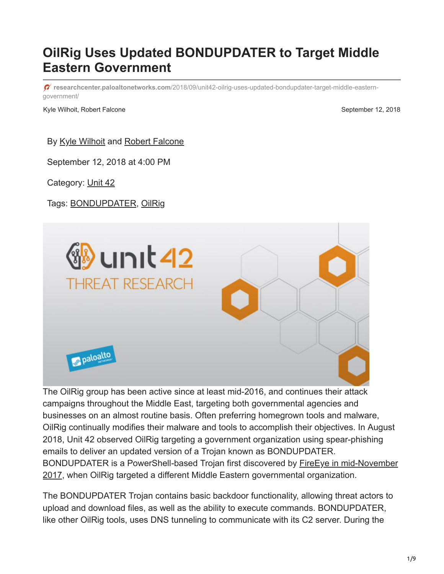# **OilRig Uses Updated BONDUPDATER to Target Middle Eastern Government**

**researchcenter.paloaltonetworks.com**[/2018/09/unit42-oilrig-uses-updated-bondupdater-target-middle-eastern](https://researchcenter.paloaltonetworks.com/2018/09/unit42-oilrig-uses-updated-bondupdater-target-middle-eastern-government/)government/

Kyle Wilhoit, Robert Falcone September 12, 2018

By [Kyle Wilhoit](https://unit42.paloaltonetworks.com/author/kyle-wilhoit/) and [Robert Falcone](https://unit42.paloaltonetworks.com/author/robertfalcone/)

September 12, 2018 at 4:00 PM

Category: [Unit 42](https://unit42.paloaltonetworks.com/category/unit42/)

Tags: [BONDUPDATER](https://unit42.paloaltonetworks.com/tag/bondupdater/), [OilRig](https://unit42.paloaltonetworks.com/tag/oilrig/)



The OilRig group has been active since at least mid-2016, and continues their attack campaigns throughout the Middle East, targeting both governmental agencies and businesses on an almost routine basis. Often preferring homegrown tools and malware, OilRig continually modifies their malware and tools to accomplish their objectives. In August 2018, Unit 42 observed OilRig targeting a government organization using spear-phishing emails to deliver an updated version of a Trojan known as BONDUPDATER. BONDUPDATER is a PowerShell-based Trojan first discovered by **FireEye in mid-November** 2017, when OilRig targeted a different Middle Eastern governmental organization.

The BONDUPDATER Trojan contains basic backdoor functionality, allowing threat actors to upload and download files, as well as the ability to execute commands. BONDUPDATER, like other OilRig tools, uses DNS tunneling to communicate with its C2 server. During the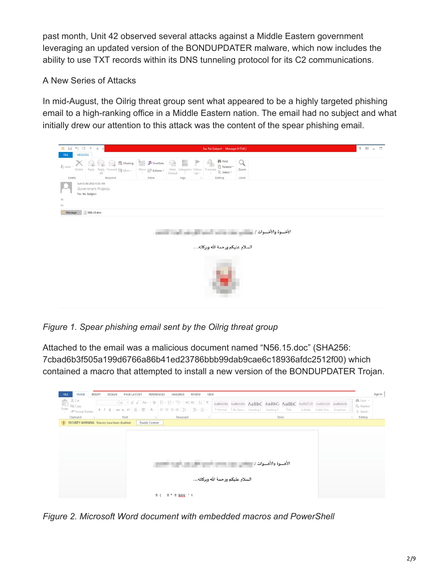past month, Unit 42 observed several attacks against a Middle Eastern government leveraging an updated version of the BONDUPDATER malware, which now includes the ability to use TXT records within its DNS tunneling protocol for its C2 communications.

## A New Series of Attacks

In mid-August, the Oilrig threat group sent what appeared to be a highly targeted phishing email to a high-ranking office in a Middle Eastern nation. The email had no subject and what initially drew our attention to this attack was the content of the spear phishing email.

| ø H                    | ち び キ<br>÷.<br>Fw: No Subject - Message (HTML)<br>$=$                                                                                                                                                                                                                                                                                                                                                                                                                    | $7 \quad \text{W} \quad \text{---} \quad \text{---}$ |  |
|------------------------|--------------------------------------------------------------------------------------------------------------------------------------------------------------------------------------------------------------------------------------------------------------------------------------------------------------------------------------------------------------------------------------------------------------------------------------------------------------------------|------------------------------------------------------|--|
| <b>FILE</b>            | MESSAGE                                                                                                                                                                                                                                                                                                                                                                                                                                                                  |                                                      |  |
|                        | <b>M</b> Find<br>碼<br>E Meeting & BOneNote<br>$\times$<br>조금<br>Ш<br>Q                                                                                                                                                                                                                                                                                                                                                                                                   |                                                      |  |
| & Junk-                | Related +<br>Mark Categorize Follow<br>Translate<br>Zoom<br>Delete<br>$\begin{picture}(20,10) \put(0,0){\line(1,0){10}} \put(15,0){\line(1,0){10}} \put(15,0){\line(1,0){10}} \put(15,0){\line(1,0){10}} \put(15,0){\line(1,0){10}} \put(15,0){\line(1,0){10}} \put(15,0){\line(1,0){10}} \put(15,0){\line(1,0){10}} \put(15,0){\line(1,0){10}} \put(15,0){\line(1,0){10}} \put(15,0){\line(1,0){10}} \put(15,0){\line(1$<br>Reply Reply Forward III More<br>Le Select + |                                                      |  |
| Delete                 | Unread.<br>$Up =$<br>$\sim$<br>AIL<br>Move<br>Tags<br>Respond<br>Editing<br>Zoom<br>is.                                                                                                                                                                                                                                                                                                                                                                                  |                                                      |  |
|                        | Sun 8/26/2018 6:55 AM                                                                                                                                                                                                                                                                                                                                                                                                                                                    |                                                      |  |
|                        | Government Projects                                                                                                                                                                                                                                                                                                                                                                                                                                                      |                                                      |  |
|                        | Fw: No Subject                                                                                                                                                                                                                                                                                                                                                                                                                                                           |                                                      |  |
| To                     |                                                                                                                                                                                                                                                                                                                                                                                                                                                                          |                                                      |  |
| $\mathbb{C}\mathbb{C}$ |                                                                                                                                                                                                                                                                                                                                                                                                                                                                          |                                                      |  |
| Message                | 2 N56.15.doc                                                                                                                                                                                                                                                                                                                                                                                                                                                             |                                                      |  |
|                        |                                                                                                                                                                                                                                                                                                                                                                                                                                                                          |                                                      |  |
|                        |                                                                                                                                                                                                                                                                                                                                                                                                                                                                          |                                                      |  |
|                        | الأخسوة والأخسوات / سنستسب سنستسبب                                                                                                                                                                                                                                                                                                                                                                                                                                       |                                                      |  |
|                        |                                                                                                                                                                                                                                                                                                                                                                                                                                                                          |                                                      |  |
|                        |                                                                                                                                                                                                                                                                                                                                                                                                                                                                          |                                                      |  |
|                        | السلام عليكم ورحمة الله وبركاته                                                                                                                                                                                                                                                                                                                                                                                                                                          |                                                      |  |
|                        |                                                                                                                                                                                                                                                                                                                                                                                                                                                                          |                                                      |  |
|                        |                                                                                                                                                                                                                                                                                                                                                                                                                                                                          |                                                      |  |
|                        |                                                                                                                                                                                                                                                                                                                                                                                                                                                                          |                                                      |  |
|                        |                                                                                                                                                                                                                                                                                                                                                                                                                                                                          |                                                      |  |
|                        |                                                                                                                                                                                                                                                                                                                                                                                                                                                                          |                                                      |  |
|                        |                                                                                                                                                                                                                                                                                                                                                                                                                                                                          |                                                      |  |
|                        |                                                                                                                                                                                                                                                                                                                                                                                                                                                                          |                                                      |  |
|                        |                                                                                                                                                                                                                                                                                                                                                                                                                                                                          |                                                      |  |
|                        |                                                                                                                                                                                                                                                                                                                                                                                                                                                                          |                                                      |  |
|                        |                                                                                                                                                                                                                                                                                                                                                                                                                                                                          |                                                      |  |

*Figure 1. Spear phishing email sent by the Oilrig threat group*

Attached to the email was a malicious document named "N56.15.doc" (SHA256: 7cbad6b3f505a199d6766a86b41ed23786bbb99dab9cae6c18936afdc2512f00) which contained a macro that attempted to install a new version of the BONDUPDATER Trojan.

| $\mathbb{R}$ X Cut<br>Paste<br>S Format Painter<br>Clipboard<br>信 | PAGE LAYOUT<br>DESIGN<br>Font | MAILINGS<br>VIEW<br>REVIEW<br>REFERENCES<br>→ m → A A A A - 参 三 - 三 · 三 · 三 三 三 三 三 三<br>B I U · ax x, x' A · Z · A · 三三三三 I · A · 三<br>Paragraph<br>$\pm$<br><b>G</b> | AaBbCcDt AaBbCcDt AaBbC AaBbCi AaBbC AaBbCcD AaBbCcDt AaBbCcDt<br>1 Normal 1 No Spac Heading 1 Heading 2 | Styles | Title | Subtitle | Subtle Em Emphasis<br>n. | Sign in<br>MLFind →<br>als Replace<br>le Select-<br>Editing |
|-------------------------------------------------------------------|-------------------------------|------------------------------------------------------------------------------------------------------------------------------------------------------------------------|----------------------------------------------------------------------------------------------------------|--------|-------|----------|--------------------------|-------------------------------------------------------------|
| SECURITY WARNING Macros have been disabled.                       | Enable Content                |                                                                                                                                                                        |                                                                                                          |        |       |          |                          |                                                             |
|                                                                   |                               |                                                                                                                                                                        |                                                                                                          |        |       |          |                          |                                                             |
|                                                                   |                               |                                                                                                                                                                        |                                                                                                          |        |       |          |                          |                                                             |
|                                                                   |                               |                                                                                                                                                                        |                                                                                                          |        |       |          |                          |                                                             |
|                                                                   |                               |                                                                                                                                                                        | الأخسوة والأخسوات / المستقصين المستقرر                                                                   |        |       |          |                          |                                                             |
|                                                                   |                               |                                                                                                                                                                        |                                                                                                          |        |       |          |                          |                                                             |
|                                                                   |                               |                                                                                                                                                                        |                                                                                                          |        |       |          |                          |                                                             |
|                                                                   |                               |                                                                                                                                                                        | السلام عليكم ورحمة الله وبركاته                                                                          |        |       |          |                          |                                                             |

*Figure 2. Microsoft Word document with embedded macros and PowerShell*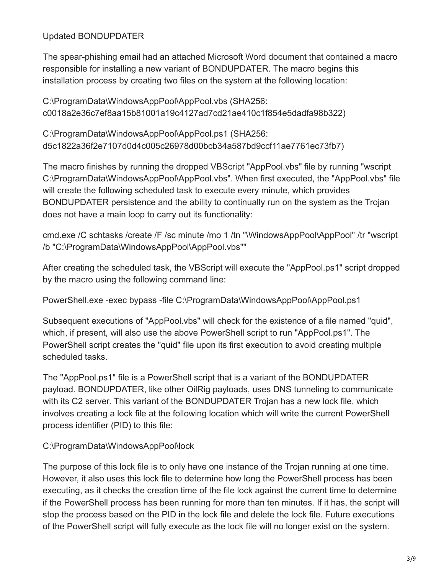Updated BONDUPDATER

The spear-phishing email had an attached Microsoft Word document that contained a macro responsible for installing a new variant of BONDUPDATER. The macro begins this installation process by creating two files on the system at the following location:

C:\ProgramData\WindowsAppPool\AppPool.vbs (SHA256: c0018a2e36c7ef8aa15b81001a19c4127ad7cd21ae410c1f854e5dadfa98b322)

C:\ProgramData\WindowsAppPool\AppPool.ps1 (SHA256: d5c1822a36f2e7107d0d4c005c26978d00bcb34a587bd9ccf11ae7761ec73fb7)

The macro finishes by running the dropped VBScript "AppPool.vbs" file by running "wscript C:\ProgramData\WindowsAppPool\AppPool.vbs". When first executed, the "AppPool.vbs" file will create the following scheduled task to execute every minute, which provides BONDUPDATER persistence and the ability to continually run on the system as the Trojan does not have a main loop to carry out its functionality:

cmd.exe /C schtasks /create /F /sc minute /mo 1 /tn "\WindowsAppPool\AppPool" /tr "wscript /b "C:\ProgramData\WindowsAppPool\AppPool.vbs""

After creating the scheduled task, the VBScript will execute the "AppPool.ps1" script dropped by the macro using the following command line:

PowerShell.exe -exec bypass -file C:\ProgramData\WindowsAppPool\AppPool.ps1

Subsequent executions of "AppPool.vbs" will check for the existence of a file named "quid", which, if present, will also use the above PowerShell script to run "AppPool.ps1". The PowerShell script creates the "quid" file upon its first execution to avoid creating multiple scheduled tasks.

The "AppPool.ps1" file is a PowerShell script that is a variant of the BONDUPDATER payload. BONDUPDATER, like other OilRig payloads, uses DNS tunneling to communicate with its C2 server. This variant of the BONDUPDATER Trojan has a new lock file, which involves creating a lock file at the following location which will write the current PowerShell process identifier (PID) to this file:

#### C:\ProgramData\WindowsAppPool\lock

The purpose of this lock file is to only have one instance of the Trojan running at one time. However, it also uses this lock file to determine how long the PowerShell process has been executing, as it checks the creation time of the file lock against the current time to determine if the PowerShell process has been running for more than ten minutes. If it has, the script will stop the process based on the PID in the lock file and delete the lock file. Future executions of the PowerShell script will fully execute as the lock file will no longer exist on the system.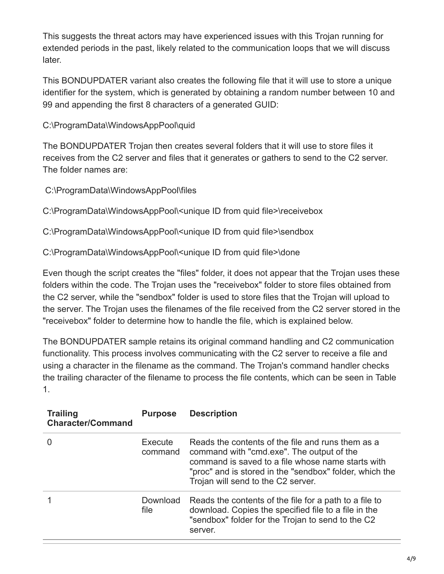This suggests the threat actors may have experienced issues with this Trojan running for extended periods in the past, likely related to the communication loops that we will discuss later.

This BONDUPDATER variant also creates the following file that it will use to store a unique identifier for the system, which is generated by obtaining a random number between 10 and 99 and appending the first 8 characters of a generated GUID:

C:\ProgramData\WindowsAppPool\quid

The BONDUPDATER Trojan then creates several folders that it will use to store files it receives from the C2 server and files that it generates or gathers to send to the C2 server. The folder names are:

C:\ProgramData\WindowsAppPool\files

C:\ProgramData\WindowsAppPool\<unique ID from quid file>\receivebox

C:\ProgramData\WindowsAppPool\<unique ID from quid file>\sendbox

C:\ProgramData\WindowsAppPool\<unique ID from quid file>\done

Even though the script creates the "files" folder, it does not appear that the Trojan uses these folders within the code. The Trojan uses the "receivebox" folder to store files obtained from the C2 server, while the "sendbox" folder is used to store files that the Trojan will upload to the server. The Trojan uses the filenames of the file received from the C2 server stored in the "receivebox" folder to determine how to handle the file, which is explained below.

The BONDUPDATER sample retains its original command handling and C2 communication functionality. This process involves communicating with the C2 server to receive a file and using a character in the filename as the command. The Trojan's command handler checks the trailing character of the filename to process the file contents, which can be seen in Table 1.

| <b>Trailing</b><br><b>Character/Command</b> | <b>Purpose</b>     | <b>Description</b>                                                                                                                                                                                                                                   |
|---------------------------------------------|--------------------|------------------------------------------------------------------------------------------------------------------------------------------------------------------------------------------------------------------------------------------------------|
|                                             | Execute<br>command | Reads the contents of the file and runs them as a<br>command with "cmd.exe". The output of the<br>command is saved to a file whose name starts with<br>"proc" and is stored in the "sendbox" folder, which the<br>Trojan will send to the C2 server. |
|                                             | Download<br>file   | Reads the contents of the file for a path to a file to<br>download. Copies the specified file to a file in the<br>"sendbox" folder for the Trojan to send to the C2<br>server.                                                                       |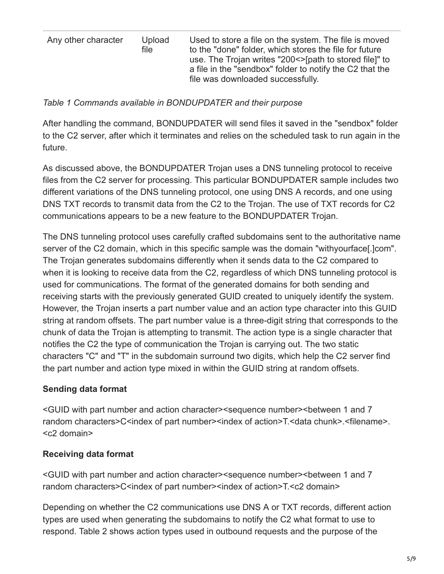| Any other character | Upload<br>file | Used to store a file on the system. The file is moved<br>to the "done" folder, which stores the file for future<br>use. The Trojan writes "200<>[path to stored file]" to<br>a file in the "sendbox" folder to notify the C2 that the<br>file was downloaded successfully. |
|---------------------|----------------|----------------------------------------------------------------------------------------------------------------------------------------------------------------------------------------------------------------------------------------------------------------------------|
|                     |                |                                                                                                                                                                                                                                                                            |

#### *Table 1 Commands available in BONDUPDATER and their purpose*

After handling the command, BONDUPDATER will send files it saved in the "sendbox" folder to the C2 server, after which it terminates and relies on the scheduled task to run again in the future.

As discussed above, the BONDUPDATER Trojan uses a DNS tunneling protocol to receive files from the C2 server for processing. This particular BONDUPDATER sample includes two different variations of the DNS tunneling protocol, one using DNS A records, and one using DNS TXT records to transmit data from the C2 to the Trojan. The use of TXT records for C2 communications appears to be a new feature to the BONDUPDATER Trojan.

The DNS tunneling protocol uses carefully crafted subdomains sent to the authoritative name server of the C2 domain, which in this specific sample was the domain "withyourface[.]com". The Trojan generates subdomains differently when it sends data to the C2 compared to when it is looking to receive data from the C2, regardless of which DNS tunneling protocol is used for communications. The format of the generated domains for both sending and receiving starts with the previously generated GUID created to uniquely identify the system. However, the Trojan inserts a part number value and an action type character into this GUID string at random offsets. The part number value is a three-digit string that corresponds to the chunk of data the Trojan is attempting to transmit. The action type is a single character that notifies the C2 the type of communication the Trojan is carrying out. The two static characters "C" and "T" in the subdomain surround two digits, which help the C2 server find the part number and action type mixed in within the GUID string at random offsets.

### **Sending data format**

<GUID with part number and action character><sequence number><between 1 and 7 random characters>C<index of part number><index of action>T.<data chunk>.<filename>. <c2 domain>

### **Receiving data format**

<GUID with part number and action character><sequence number><between 1 and 7 random characters>C<index of part number><index of action>T.<c2 domain>

Depending on whether the C2 communications use DNS A or TXT records, different action types are used when generating the subdomains to notify the C2 what format to use to respond. Table 2 shows action types used in outbound requests and the purpose of the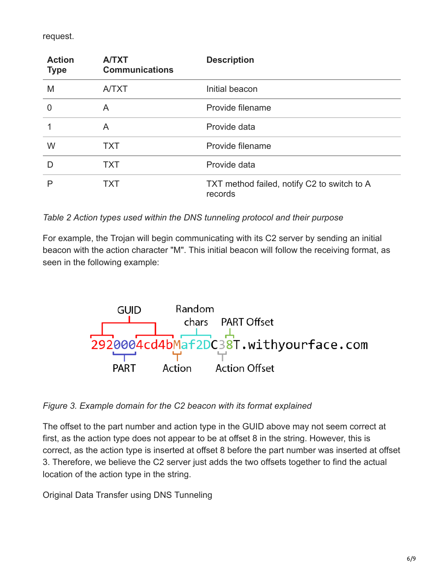request.

| <b>Action</b><br><b>Type</b> | <b>A/TXT</b><br><b>Communications</b> | <b>Description</b>                                     |
|------------------------------|---------------------------------------|--------------------------------------------------------|
| M                            | <b>A/TXT</b>                          | Initial beacon                                         |
| $\overline{0}$               | A                                     | Provide filename                                       |
|                              | A                                     | Provide data                                           |
| W                            | <b>TXT</b>                            | Provide filename                                       |
| D                            | <b>TXT</b>                            | Provide data                                           |
|                              | TXT                                   | TXT method failed, notify C2 to switch to A<br>records |

*Table 2 Action types used within the DNS tunneling protocol and their purpose*

For example, the Trojan will begin communicating with its C2 server by sending an initial beacon with the action character "M". This initial beacon will follow the receiving format, as seen in the following example:



*Figure 3. Example domain for the C2 beacon with its format explained*

The offset to the part number and action type in the GUID above may not seem correct at first, as the action type does not appear to be at offset 8 in the string. However, this is correct, as the action type is inserted at offset 8 before the part number was inserted at offset 3. Therefore, we believe the C2 server just adds the two offsets together to find the actual location of the action type in the string.

Original Data Transfer using DNS Tunneling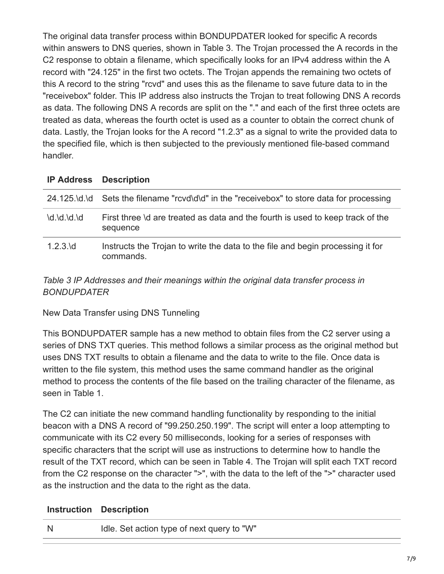The original data transfer process within BONDUPDATER looked for specific A records within answers to DNS queries, shown in Table 3. The Trojan processed the A records in the C2 response to obtain a filename, which specifically looks for an IPv4 address within the A record with "24.125" in the first two octets. The Trojan appends the remaining two octets of this A record to the string "rcvd" and uses this as the filename to save future data to in the "receivebox" folder. This IP address also instructs the Trojan to treat following DNS A records as data. The following DNS A records are split on the "." and each of the first three octets are treated as data, whereas the fourth octet is used as a counter to obtain the correct chunk of data. Lastly, the Trojan looks for the A record "1.2.3" as a signal to write the provided data to the specified file, which is then subjected to the previously mentioned file-based command handler.

#### **IP Address Description**

|               | 24.125.\d.\d Sets the filename "rcvd\d\d" in the "receivebox" to store data for processing  |
|---------------|---------------------------------------------------------------------------------------------|
| $d$ .\d.\d.\d | First three \d are treated as data and the fourth is used to keep track of the<br>sequence  |
| $1.2.3$ \d    | Instructs the Trojan to write the data to the file and begin processing it for<br>commands. |

### *Table 3 IP Addresses and their meanings within the original data transfer process in BONDUPDATER*

New Data Transfer using DNS Tunneling

This BONDUPDATER sample has a new method to obtain files from the C2 server using a series of DNS TXT queries. This method follows a similar process as the original method but uses DNS TXT results to obtain a filename and the data to write to the file. Once data is written to the file system, this method uses the same command handler as the original method to process the contents of the file based on the trailing character of the filename, as seen in Table 1.

The C2 can initiate the new command handling functionality by responding to the initial beacon with a DNS A record of "99.250.250.199". The script will enter a loop attempting to communicate with its C2 every 50 milliseconds, looking for a series of responses with specific characters that the script will use as instructions to determine how to handle the result of the TXT record, which can be seen in Table 4. The Trojan will split each TXT record from the C2 response on the character ">", with the data to the left of the ">" character used as the instruction and the data to the right as the data.

### **Instruction Description**

N Idle. Set action type of next query to "W"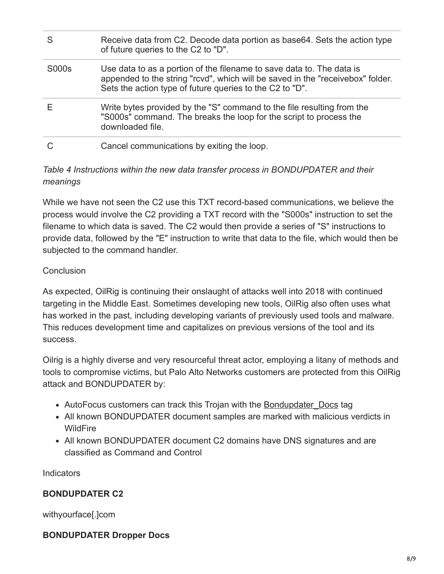| S     | Receive data from C2. Decode data portion as base 64. Sets the action type<br>of future queries to the C2 to "D".                                                                                                   |
|-------|---------------------------------------------------------------------------------------------------------------------------------------------------------------------------------------------------------------------|
| S000s | Use data to as a portion of the filename to save data to. The data is<br>appended to the string "rcvd", which will be saved in the "receivebox" folder.<br>Sets the action type of future queries to the C2 to "D". |
|       | Write bytes provided by the "S" command to the file resulting from the<br>"S000s" command. The breaks the loop for the script to process the<br>downloaded file.                                                    |
|       | Cancel communications by exiting the loop.                                                                                                                                                                          |

# *Table 4 Instructions within the new data transfer process in BONDUPDATER and their meanings*

While we have not seen the C2 use this TXT record-based communications, we believe the process would involve the C2 providing a TXT record with the "S000s" instruction to set the filename to which data is saved. The C2 would then provide a series of "S" instructions to provide data, followed by the "E" instruction to write that data to the file, which would then be subjected to the command handler.

### **Conclusion**

As expected, OilRig is continuing their onslaught of attacks well into 2018 with continued targeting in the Middle East. Sometimes developing new tools, OilRig also often uses what has worked in the past, including developing variants of previously used tools and malware. This reduces development time and capitalizes on previous versions of the tool and its success.

Oilrig is a highly diverse and very resourceful threat actor, employing a litany of methods and tools to compromise victims, but Palo Alto Networks customers are protected from this OilRig attack and BONDUPDATER by:

- AutoFocus customers can track this Trojan with the Bondupdater Docs tag
- All known BONDUPDATER document samples are marked with malicious verdicts in **WildFire**
- All known BONDUPDATER document C2 domains have DNS signatures and are classified as Command and Control

Indicators

# **BONDUPDATER C2**

withyourface[.]com

### **BONDUPDATER Dropper Docs**